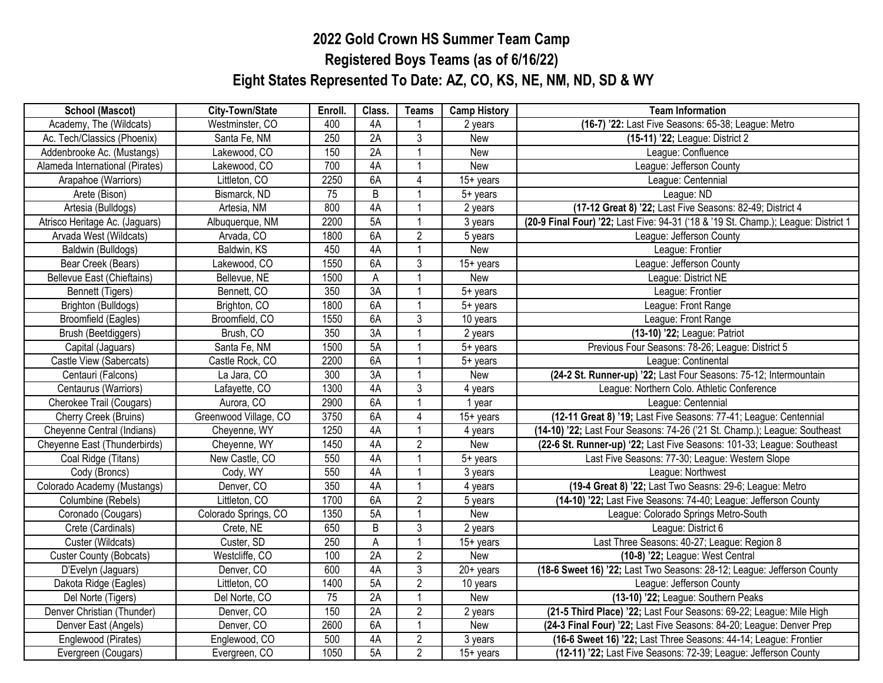## **2022 Gold Crown HS Summer Team Camp Registered Boys Teams (as of 6/16/22) Eight States Represented To Date: AZ, CO, KS, NE, NM, ND, SD & WY**

| <b>School (Mascot)</b>            | City-Town/State       | Enroll.         | Class.          | <b>Teams</b>   | <b>Camp History</b>  | <b>Team Information</b>                                                            |
|-----------------------------------|-----------------------|-----------------|-----------------|----------------|----------------------|------------------------------------------------------------------------------------|
| Academy, The (Wildcats)           | Westminster, CO       | 400             | 4A              |                | 2 years              | (16-7) '22: Last Five Seasons: 65-38; League: Metro                                |
| Ac. Tech/Classics (Phoenix)       | Santa Fe, NM          | 250             | 2A              | $\overline{3}$ | New                  | (15-11) '22; League: District 2                                                    |
| Addenbrooke Ac. (Mustangs)        | Lakewood, CO          | 150             | 2A              |                | New                  | League: Confluence                                                                 |
| Alameda International (Pirates)   | Lakewood, CO          | 700             | 4A              |                | New                  | League: Jefferson County                                                           |
| Arapahoe (Warriors)               | Littleton, CO         | 2250            | 6A              | 4              | $15+$ years          | League: Centennial                                                                 |
| Arete (Bison)                     | Bismarck, ND          | $\overline{75}$ | B               |                | 5+ years             | League: ND                                                                         |
| Artesia (Bulldogs)                | Artesia, NM           | 800             | 4A              |                | 2 years              | (17-12 Great 8) '22; Last Five Seasons: 82-49; District 4                          |
| Atrisco Heritage Ac. (Jaguars)    | Albuquerque, NM       | 2200            | 5A              |                | 3 years              | (20-9 Final Four) '22; Last Five: 94-31 ('18 & '19 St. Champ.); League: District 1 |
| Arvada West (Wildcats)            | Arvada, CO            | 1800            | 6A              | $\overline{2}$ | 5 years              | League: Jefferson County                                                           |
| Baldwin (Bulldogs)                | Baldwin, KS           | 450             | 4A              |                | New                  | League: Frontier                                                                   |
| Bear Creek (Bears)                | Lakewood, CO          | 1550            | 6A              | $\overline{3}$ | $15+$ years          | League: Jefferson County                                                           |
| <b>Bellevue East (Chieftains)</b> | Bellevue, NE          | 1500            | A               |                | New                  | League: District NE                                                                |
| Bennett (Tigers)                  | Bennett, CO           | 350             | 3A              |                | 5+ years             | League: Frontier                                                                   |
| Brighton (Bulldogs)               | Brighton, CO          | 1800            | 6A              |                | 5+ years             | League: Front Range                                                                |
| <b>Broomfield (Eagles)</b>        | Broomfield, CO        | 1550            | 6A              | $\overline{3}$ | 10 years             | League: Front Range                                                                |
| Brush (Beetdiggers)               | Brush, CO             | 350             | 3A              | $\mathbf{1}$   | 2 years              | (13-10) '22; League: Patriot                                                       |
| Capital (Jaguars)                 | Santa Fe, NM          | 1500            | 5A              |                | 5+ years             | Previous Four Seasons: 78-26; League: District 5                                   |
| Castle View (Sabercats)           | Castle Rock, CO       | 2200            | 6A              |                | 5+ years             | League: Continental                                                                |
| Centauri (Falcons)                | La Jara, CO           | 300             | 3A              |                | New                  | (24-2 St. Runner-up) '22; Last Four Seasons: 75-12; Intermountain                  |
| Centaurus (Warriors)              | Lafayette, CO         | 1300            | 4A              | $\overline{3}$ | 4 years              | League: Northern Colo. Athletic Conference                                         |
| Cherokee Trail (Cougars)          | Aurora, CO            | 2900            | 6A              |                | 1 year               | League: Centennial                                                                 |
| Cherry Creek (Bruins)             | Greenwood Village, CO | 3750            | 6A              | $\overline{4}$ | $15+$ years          | (12-11 Great 8) '19; Last Five Seasons: 77-41; League: Centennial                  |
| Cheyenne Central (Indians)        | Cheyenne, WY          | 1250            | 4A              |                | 4 years              | (14-10) '22; Last Four Seasons: 74-26 ('21 St. Champ.); League: Southeast          |
| Cheyenne East (Thunderbirds)      | Cheyenne, WY          | 1450            | 4A              | $\overline{2}$ | New                  | (22-6 St. Runner-up) '22; Last Five Seasons: 101-33; League: Southeast             |
| Coal Ridge (Titans)               | New Castle, CO        | 550             | 4A              | 1              | $5+$ years           | Last Five Seasons: 77-30; League: Western Slope                                    |
| Cody (Broncs)                     | Cody, WY              | 550             | 4A              |                | 3 years              | League: Northwest                                                                  |
| Colorado Academy (Mustangs)       | Denver, CO            | 350             | 4A              |                | 4 years              | (19-4 Great 8) '22; Last Two Seasns: 29-6; League: Metro                           |
| Columbine (Rebels)                | Littleton, CO         | 1700            | 6A              | $\overline{2}$ | 5 years              | (14-10) '22; Last Five Seasons: 74-40; League: Jefferson County                    |
| Coronado (Cougars)                | Colorado Springs, CO  | 1350            | 5A              | $\overline{1}$ | New                  | League: Colorado Springs Metro-South                                               |
| Crete (Cardinals)                 | Crete, NE             | 650             | $\overline{B}$  | $\overline{3}$ | $\overline{2}$ years | League: District 6                                                                 |
| Custer (Wildcats)                 | Custer, SD            | 250             | $\overline{A}$  |                | $15+$ years          | Last Three Seasons: 40-27; League: Region 8                                        |
| <b>Custer County (Bobcats)</b>    | Westcliffe, CO        | 100             | $\overline{2A}$ | $\overline{c}$ | New                  | (10-8) '22; League: West Central                                                   |
| D'Evelyn (Jaguars)                | Denver, CO            | 600             | 4A              | 3              | $20+$ years          | (18-6 Sweet 16) '22; Last Two Seasons: 28-12; League: Jefferson County             |
| Dakota Ridge (Eagles)             | Littleton, CO         | 1400            | 5A              | $\overline{2}$ | 10 years             | League: Jefferson County                                                           |
| Del Norte (Tigers)                | Del Norte, CO         | $\overline{75}$ | 2A              |                | New                  | (13-10) '22; League: Southern Peaks                                                |
| Denver Christian (Thunder)        | Denver, CO            | 150             | $\overline{2A}$ | $\overline{c}$ | 2 years              | (21-5 Third Place) '22; Last Four Seasons: 69-22; League: Mile High                |
| Denver East (Angels)              | Denver, CO            | 2600            | 6A              | $\overline{1}$ | New                  | (24-3 Final Four) '22; Last Five Seasons: 84-20; League: Denver Prep               |
| Englewood (Pirates)               | Englewood, CO         | 500             | 4A              | $\overline{2}$ | 3 years              | (16-6 Sweet 16) '22; Last Three Seasons: 44-14; League: Frontier                   |
| Evergreen (Cougars)               | Evergreen, CO         | 1050            | 5A              | $\overline{2}$ | $15+$ years          | (12-11) '22; Last Five Seasons: 72-39; League: Jefferson County                    |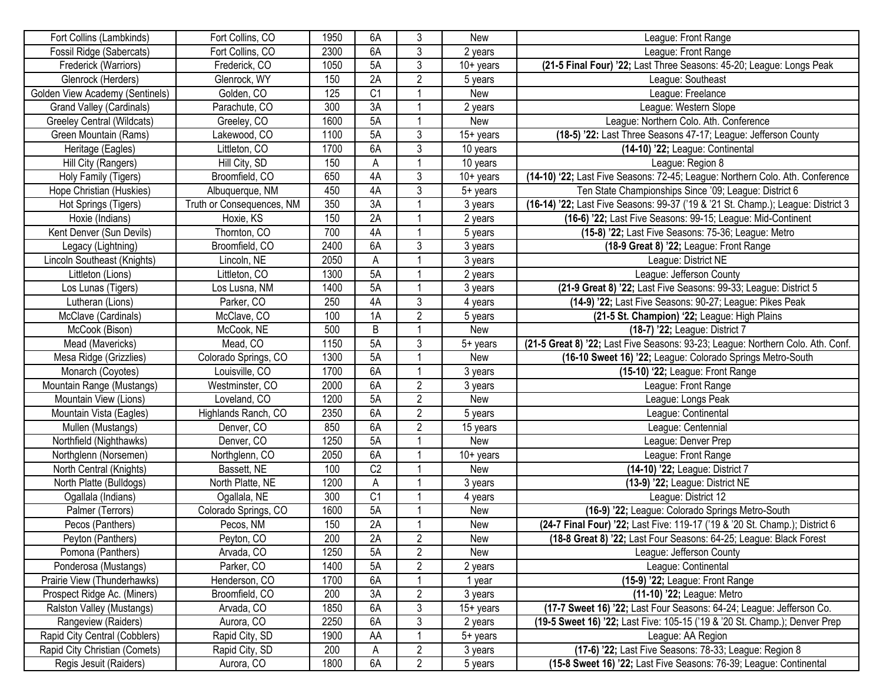| Fort Collins (Lambkinds)        | Fort Collins, CO          | 1950 | 6A              | 3              | New                     | League: Front Range                                                              |
|---------------------------------|---------------------------|------|-----------------|----------------|-------------------------|----------------------------------------------------------------------------------|
| Fossil Ridge (Sabercats)        | Fort Collins, CO          | 2300 | 6A              | 3              | 2 years                 | League: Front Range                                                              |
| Frederick (Warriors)            | Frederick, CO             | 1050 | 5A              | $\overline{3}$ | $10+$ years             | (21-5 Final Four) '22; Last Three Seasons: 45-20; League: Longs Peak             |
| Glenrock (Herders)              | Glenrock, WY              | 150  | 2A              | $\overline{c}$ | 5 years                 | League: Southeast                                                                |
| Golden View Academy (Sentinels) | Golden, CO                | 125  | $\overline{C1}$ |                | New                     | League: Freelance                                                                |
| <b>Grand Valley (Cardinals)</b> | Parachute, CO             | 300  | $\overline{3A}$ |                | 2 years                 | League: Western Slope                                                            |
| Greeley Central (Wildcats)      | Greeley, CO               | 1600 | 5A              |                | New                     | League: Northern Colo. Ath. Conference                                           |
| Green Mountain (Rams)           | Lakewood, CO              | 1100 | 5A              | 3              | $15+$ years             | (18-5) '22: Last Three Seasons 47-17; League: Jefferson County                   |
| Heritage (Eagles)               | Littleton, CO             | 1700 | 6A              | $\overline{3}$ | $\overline{10}$ years   | (14-10) '22; League: Continental                                                 |
| Hill City (Rangers)             | Hill City, SD             | 150  | A               |                | 10 years                | League: Region 8                                                                 |
| Holy Family (Tigers)            | Broomfield, CO            | 650  | 4A              | 3              | $\overline{10}$ + years | (14-10) '22; Last Five Seasons: 72-45; League: Northern Colo. Ath. Conference    |
| Hope Christian (Huskies)        | Albuquerque, NM           | 450  | 4A              | 3              | $5+$ years              | Ten State Championships Since '09; League: District 6                            |
| Hot Springs (Tigers)            | Truth or Consequences, NM | 350  | $\overline{3A}$ |                | 3 years                 | (16-14) '22; Last Five Seasons: 99-37 ('19 & '21 St. Champ.); League: District 3 |
| Hoxie (Indians)                 | Hoxie, KS                 | 150  | 2A              |                | 2 years                 | (16-6) '22; Last Five Seasons: 99-15; League: Mid-Continent                      |
| Kent Denver (Sun Devils)        | Thornton, CO              | 700  | 4A              |                | 5 years                 | (15-8) '22; Last Five Seasons: 75-36; League: Metro                              |
| Legacy (Lightning)              | Broomfield, CO            | 2400 | 6A              | 3              | 3 years                 | (18-9 Great 8) '22; League: Front Range                                          |
| Lincoln Southeast (Knights)     | Lincoln, NE               | 2050 | A               |                | 3 years                 | League: District NE                                                              |
| Littleton (Lions)               | Littleton, CO             | 1300 | 5A              |                | 2 years                 | League: Jefferson County                                                         |
| Los Lunas (Tigers)              | Los Lusna, NM             | 1400 | 5A              |                | 3 years                 | (21-9 Great 8) '22; Last Five Seasons: 99-33; League: District 5                 |
| Lutheran (Lions)                | Parker, CO                | 250  | 4A              | 3              | 4 years                 | (14-9) '22; Last Five Seasons: 90-27; League: Pikes Peak                         |
| McClave (Cardinals)             | McClave, CO               | 100  | 1A              | $\overline{c}$ | 5 years                 | (21-5 St. Champion) '22; League: High Plains                                     |
| McCook (Bison)                  | McCook, NE                | 500  | B               | 1              | New                     | (18-7) '22; League: District 7                                                   |
| Mead (Mavericks)                | Mead, CO                  | 1150 | 5A              | 3              | $5+$ years              | (21-5 Great 8) '22; Last Five Seasons: 93-23; League: Northern Colo. Ath. Conf.  |
| Mesa Ridge (Grizzlies)          | Colorado Springs, CO      | 1300 | 5A              |                | New                     | (16-10 Sweet 16) '22; League: Colorado Springs Metro-South                       |
| Monarch (Coyotes)               | Louisville, CO            | 1700 | 6A              |                | 3 years                 | (15-10) '22; League: Front Range                                                 |
| Mountain Range (Mustangs)       | Westminster, CO           | 2000 | 6A              | $\overline{c}$ | 3 years                 | League: Front Range                                                              |
| Mountain View (Lions)           | Loveland, CO              | 1200 | 5A              | $\overline{c}$ | New                     | League: Longs Peak                                                               |
| Mountain Vista (Eagles)         | Highlands Ranch, CO       | 2350 | 6A              | $\overline{c}$ | 5 years                 | League: Continental                                                              |
| Mullen (Mustangs)               | Denver, CO                | 850  | 6A              | $\overline{c}$ | 15 years                | League: Centennial                                                               |
| Northfield (Nighthawks)         | Denver, CO                | 1250 | 5A              |                | New                     | League: Denver Prep                                                              |
| Northglenn (Norsemen)           | Northglenn, CO            | 2050 | 6A              |                | $10+$ years             | League: Front Range                                                              |
| North Central (Knights)         | Bassett, NE               | 100  | C <sub>2</sub>  |                | New                     | (14-10) '22; League: District 7                                                  |
| North Platte (Bulldogs)         | North Platte, NE          | 1200 | ${\sf A}$       |                | 3 years                 | (13-9) '22; League: District NE                                                  |
| Ogallala (Indians)              | Ogallala, NE              | 300  | $\overline{C}1$ |                | 4 years                 | League: District 12                                                              |
| Palmer (Terrors)                | Colorado Springs, CO      | 1600 | 5A              |                | New                     | (16-9) '22; League: Colorado Springs Metro-South                                 |
| Pecos (Panthers)                | Pecos, NM                 | 150  | 2A              |                | New                     | (24-7 Final Four) '22; Last Five: 119-17 ('19 & '20 St. Champ.); District 6      |
| Peyton (Panthers)               | Peyton, CO                | 200  | 2A              | $\overline{c}$ | New                     | (18-8 Great 8) '22; Last Four Seasons: 64-25; League: Black Forest               |
| Pomona (Panthers)               | Arvada, CO                | 1250 | 5A              | $\overline{c}$ | New                     | League: Jefferson County                                                         |
| Ponderosa (Mustangs)            | Parker, CO                | 1400 | 5A              | $\overline{2}$ | 2 years                 | League: Continental                                                              |
| Prairie View (Thunderhawks)     | Henderson, CO             | 1700 | 6A              | -1             | 1 year                  | (15-9) '22; League: Front Range                                                  |
| Prospect Ridge Ac. (Miners)     | Broomfield, CO            | 200  | 3A              | $\overline{2}$ | 3 years                 | (11-10) '22; League: Metro                                                       |
| Ralston Valley (Mustangs)       | Arvada, CO                | 1850 | 6A              | 3              | $15+$ years             | (17-7 Sweet 16) '22; Last Four Seasons: 64-24; League: Jefferson Co.             |
| Rangeview (Raiders)             | Aurora, CO                | 2250 | 6A              | 3              | 2 years                 | (19-5 Sweet 16) '22; Last Five: 105-15 ('19 & '20 St. Champ.); Denver Prep       |
| Rapid City Central (Cobblers)   | Rapid City, SD            | 1900 | AA              |                | 5+ years                | League: AA Region                                                                |
| Rapid City Christian (Comets)   | Rapid City, SD            | 200  | A               | $\overline{c}$ | 3 years                 | (17-6) '22; Last Five Seasons: 78-33; League: Region 8                           |
| Regis Jesuit (Raiders)          | Aurora, CO                | 1800 | 6A              | $\overline{c}$ | 5 years                 | (15-8 Sweet 16) '22; Last Five Seasons: 76-39; League: Continental               |
|                                 |                           |      |                 |                |                         |                                                                                  |